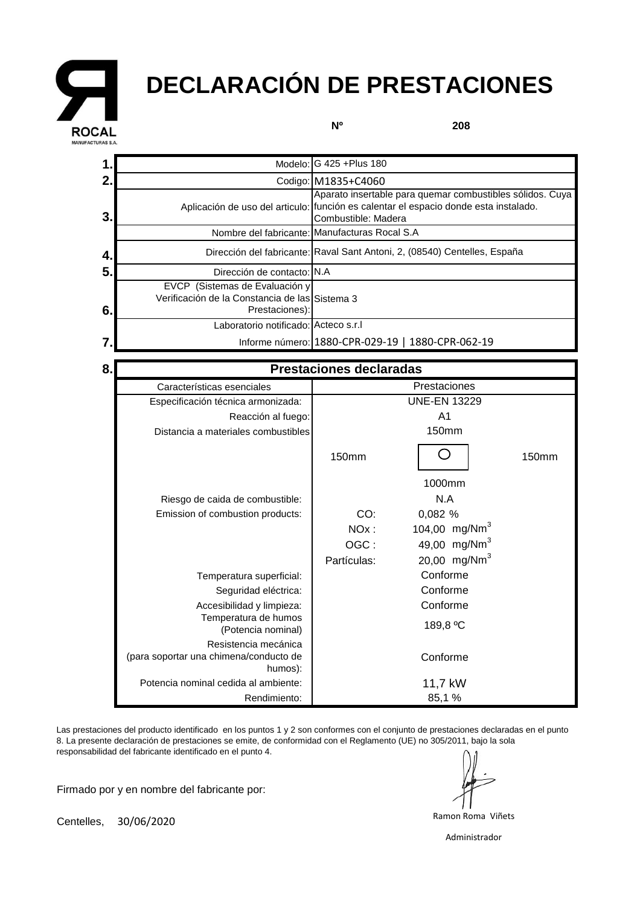

## **DECLARACIÓN DE PRESTACIONES**

**Nº**

**208**

|                                                                                                    | Codigo: M1835+C4060                                                                                                                                                       |
|----------------------------------------------------------------------------------------------------|---------------------------------------------------------------------------------------------------------------------------------------------------------------------------|
|                                                                                                    | Aparato insertable para quemar combustibles sólidos. Cuya<br>Aplicación de uso del articulo: (función es calentar el espacio donde esta instalado.<br>Combustible: Madera |
|                                                                                                    | Nombre del fabricante: Manufacturas Rocal S.A                                                                                                                             |
|                                                                                                    | Dirección del fabricante: Raval Sant Antoni, 2, (08540) Centelles, España                                                                                                 |
| Dirección de contacto: IN.A                                                                        |                                                                                                                                                                           |
| EVCP (Sistemas de Evaluación y<br>Verificación de la Constancia de las Sistema 3<br>Prestaciones): |                                                                                                                                                                           |
| Laboratorio notificado: Acteco s.r.l                                                               |                                                                                                                                                                           |
|                                                                                                    | Informe número: 1880-CPR-029-19   1880-CPR-062-19                                                                                                                         |
|                                                                                                    |                                                                                                                                                                           |

| 8. | <b>Prestaciones declaradas</b>                                            |                     |                           |       |
|----|---------------------------------------------------------------------------|---------------------|---------------------------|-------|
|    | Características esenciales                                                | Prestaciones        |                           |       |
|    | Especificación técnica armonizada:                                        | <b>UNE-EN 13229</b> |                           |       |
|    | Reacción al fuego:                                                        |                     |                           |       |
|    | Distancia a materiales combustibles                                       |                     | 150mm                     |       |
|    |                                                                           | 150mm               |                           | 150mm |
|    |                                                                           |                     | 1000mm                    |       |
|    | Riesgo de caida de combustible:                                           |                     | N.A                       |       |
|    | Emission of combustion products:                                          | CO:                 | 0,082 %                   |       |
|    |                                                                           | $NOx$ :             | 104,00 mg/Nm <sup>3</sup> |       |
|    |                                                                           | OGC:                | 49,00 mg/Nm <sup>3</sup>  |       |
|    |                                                                           | Partículas:         | 20,00 mg/Nm <sup>3</sup>  |       |
|    | Temperatura superficial:                                                  | Conforme            |                           |       |
|    | Seguridad eléctrica:                                                      | Conforme            |                           |       |
|    | Accesibilidad y limpieza:                                                 | Conforme            |                           |       |
|    | Temperatura de humos<br>(Potencia nominal)                                | 189,8 °C            |                           |       |
|    | Resistencia mecánica<br>(para soportar una chimena/conducto de<br>humos): |                     | Conforme                  |       |
|    | Potencia nominal cedida al ambiente:                                      | 11,7 kW             |                           |       |
|    | Rendimiento:                                                              |                     | 85,1 %                    |       |

Las prestaciones del producto identificado en los puntos 1 y 2 son conformes con el conjunto de prestaciones declaradas en el punto 8. La presente declaración de prestaciones se emite, de conformidad con el Reglamento (UE) no 305/2011, bajo la sola responsabilidad del fabricante identificado en el punto 4.

Firmado por y en nombre del fabricante por:

Ramon Roma Viñets

Centelles, 30/06/2020

Administrador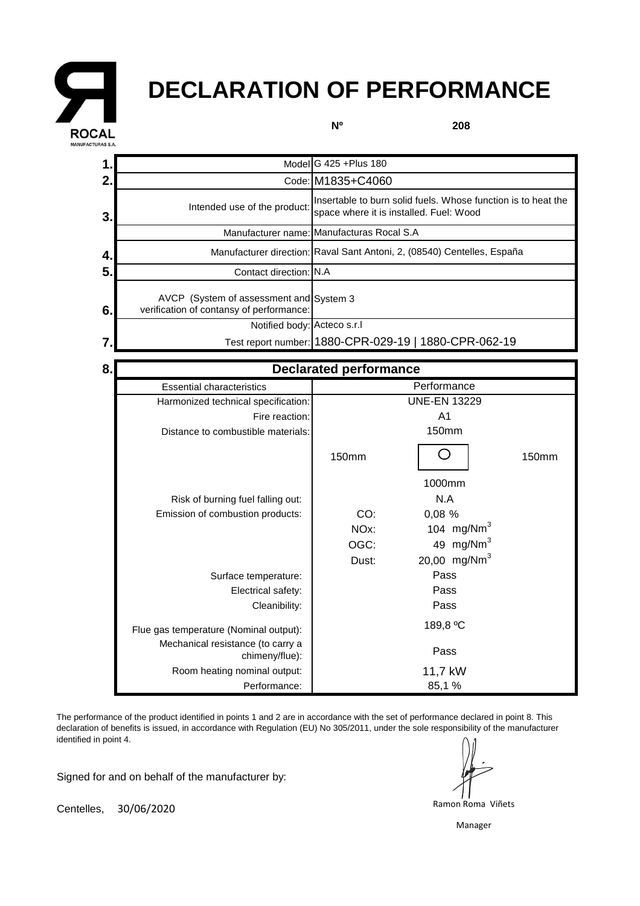

## **DECLARATION OF PERFORMANCE**

**Nº**

**208**

|                |                                                                                     | Model G 425 + Plus 180                                                                                   |                              |       |  |
|----------------|-------------------------------------------------------------------------------------|----------------------------------------------------------------------------------------------------------|------------------------------|-------|--|
| 2.             |                                                                                     | Code: M1835+C4060                                                                                        |                              |       |  |
| 3 <sub>1</sub> | Intended use of the product:                                                        | Insertable to burn solid fuels. Whose function is to heat the<br>space where it is installed. Fuel: Wood |                              |       |  |
|                |                                                                                     | Manufacturer name: Manufacturas Rocal S.A                                                                |                              |       |  |
| 4.             |                                                                                     | Manufacturer direction: Raval Sant Antoni, 2, (08540) Centelles, España                                  |                              |       |  |
| 5.             | Contact direction: N.A                                                              |                                                                                                          |                              |       |  |
| 6.             | AVCP (System of assessment and System 3<br>verification of contansy of performance: |                                                                                                          |                              |       |  |
|                | Notified body: Acteco s.r.l                                                         |                                                                                                          |                              |       |  |
| 7              |                                                                                     | Test report number: 1880-CPR-029-19   1880-CPR-062-19                                                    |                              |       |  |
| 8.             |                                                                                     | <b>Declarated performance</b>                                                                            |                              |       |  |
|                |                                                                                     |                                                                                                          |                              |       |  |
|                | <b>Essential characteristics</b>                                                    | Performance                                                                                              |                              |       |  |
|                | Harmonized technical specification:                                                 |                                                                                                          | <b>UNE-EN 13229</b>          |       |  |
|                | Fire reaction:                                                                      |                                                                                                          | A <sub>1</sub>               |       |  |
|                | Distance to combustible materials:                                                  | <b>150mm</b>                                                                                             |                              |       |  |
|                |                                                                                     |                                                                                                          |                              |       |  |
|                |                                                                                     | <b>150mm</b>                                                                                             |                              | 150mm |  |
|                |                                                                                     |                                                                                                          | 1000mm                       |       |  |
|                |                                                                                     |                                                                                                          | N.A                          |       |  |
|                | Risk of burning fuel falling out:<br>Emission of combustion products:               | CO:                                                                                                      |                              |       |  |
|                |                                                                                     | NO <sub>x</sub> :                                                                                        | 0,08 %                       |       |  |
|                |                                                                                     | OGC:                                                                                                     | 104 $mg/Nm3$<br>49 mg/Nm $3$ |       |  |
|                |                                                                                     | Dust:                                                                                                    | 20,00 mg/Nm <sup>3</sup>     |       |  |
|                | Surface temperature:                                                                |                                                                                                          | Pass                         |       |  |

The performance of the product identified in points 1 and 2 are in accordance with the set of performance declared in point 8. This declaration of benefits is issued, in accordance with Regulation (EU) No 305/2011, under the sole responsibility of the manufacturer identified in point 4.

Cleanibility:

chimeny/flue):

Performance:

Flue gas temperature (Nominal output): Mechanical resistance (to carry a

Room heating nominal output:

Signed for and on behalf of the manufacturer by:

Ramon Roma Viñets

Pass 11,7 kW 85,1 %

Pass 189,8 ºC

Centelles, 30/06/2020

Manager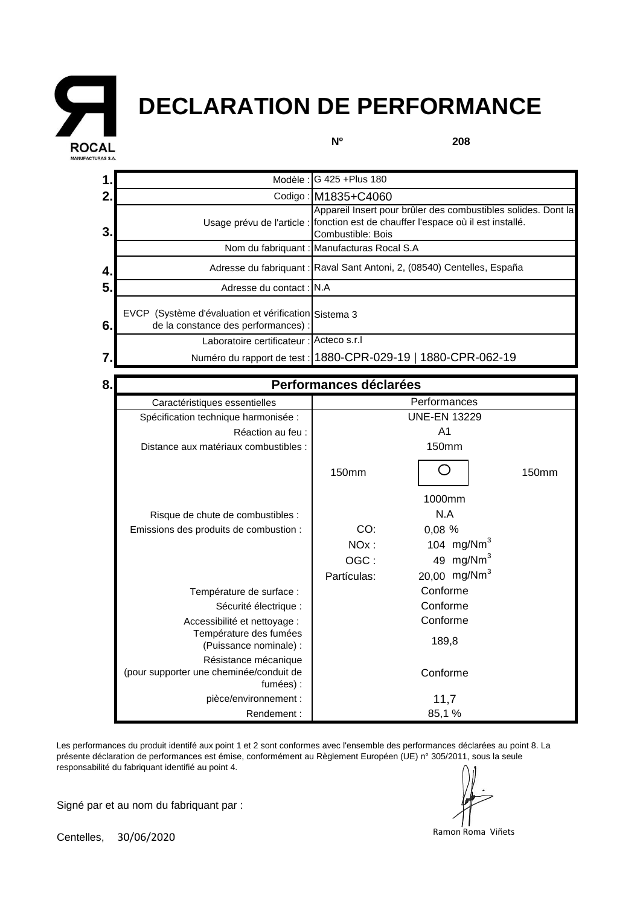

## **DECLARATION DE PERFORMANCE**

**Nº**

**208**

|                | Modèle :                                                                                    | G 425 + Plus 180                                                                                                                                                       |  |  |
|----------------|---------------------------------------------------------------------------------------------|------------------------------------------------------------------------------------------------------------------------------------------------------------------------|--|--|
| $\overline{2}$ |                                                                                             | Codigo: M1835+C4060                                                                                                                                                    |  |  |
| 3              |                                                                                             | Appareil Insert pour brûler des combustibles solides. Dont la<br>Usage prévu de l'article : fonction est de chauffer l'espace où il est installé.<br>Combustible: Bois |  |  |
|                |                                                                                             | Nom du fabriquant : Manufacturas Rocal S.A                                                                                                                             |  |  |
| 4              |                                                                                             | Adresse du fabriquant : Raval Sant Antoni, 2, (08540) Centelles, España                                                                                                |  |  |
| 5              | Adresse du contact : IN.A                                                                   |                                                                                                                                                                        |  |  |
| 6              | EVCP (Système d'évaluation et vérification Sistema 3<br>de la constance des performances) : |                                                                                                                                                                        |  |  |
|                | Laboratoire certificateur : Acteco s.r.l                                                    |                                                                                                                                                                        |  |  |
|                |                                                                                             | Numéro du rapport de test : 1880-CPR-029-19   1880-CPR-062-19                                                                                                          |  |  |
|                |                                                                                             |                                                                                                                                                                        |  |  |
| 8              |                                                                                             | Performances déclarées                                                                                                                                                 |  |  |

| 8.I | Performances déclarées                                                       |                     |                          |       |  |
|-----|------------------------------------------------------------------------------|---------------------|--------------------------|-------|--|
|     | Caractéristiques essentielles                                                | Performances        |                          |       |  |
|     | Spécification technique harmonisée :                                         | <b>UNE-EN 13229</b> |                          |       |  |
|     | Réaction au feu :                                                            | A <sub>1</sub>      |                          |       |  |
|     | Distance aux matériaux combustibles :                                        |                     | 150mm                    |       |  |
|     |                                                                              | 150mm               |                          | 150mm |  |
|     |                                                                              |                     | 1000mm                   |       |  |
|     | Risque de chute de combustibles :                                            |                     | N.A                      |       |  |
|     | Emissions des produits de combustion :                                       | CO:                 | 0,08 %                   |       |  |
|     |                                                                              | NO <sub>x</sub> :   | 104 $mg/Nm3$             |       |  |
|     |                                                                              | OGC:                | 49 mg/Nm $3$             |       |  |
|     |                                                                              | Partículas:         | 20,00 mg/Nm <sup>3</sup> |       |  |
|     | Température de surface :                                                     |                     | Conforme                 |       |  |
|     | Sécurité électrique :                                                        | Conforme            |                          |       |  |
|     | Accessibilité et nettoyage :                                                 | Conforme            |                          |       |  |
|     | Température des fumées<br>(Puissance nominale) :                             | 189,8               |                          |       |  |
|     | Résistance mécanique<br>(pour supporter une cheminée/conduit de<br>fumées) : |                     | Conforme                 |       |  |
|     | pièce/environnement :                                                        | 11,7                |                          |       |  |
|     | Rendement:                                                                   |                     | 85,1 %                   |       |  |

Les performances du produit identifé aux point 1 et 2 sont conformes avec l'ensemble des performances déclarées au point 8. La présente déclaration de performances est émise, conformément au Règlement Européen (UE) n° 305/2011, sous la seule responsabilité du fabriquant identifié au point 4.

Signé par et au nom du fabriquant par :

Centelles, 30/06/2020